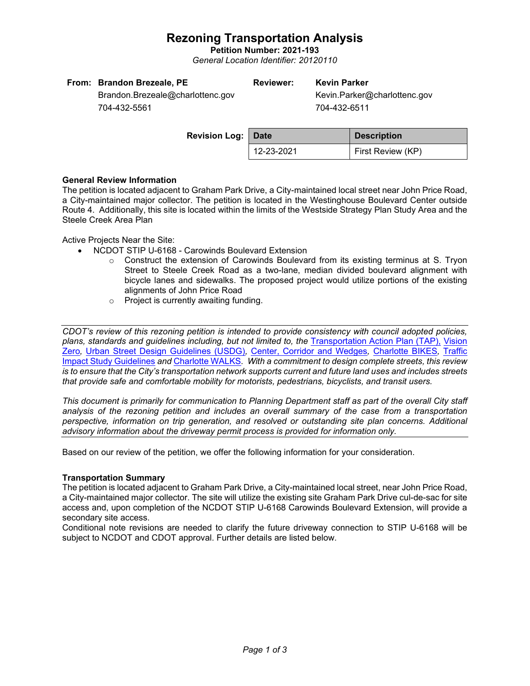# **Rezoning Transportation Analysis**

**Petition Number: 2021-193** *General Location Identifier: 20120110*

| From: Brandon Brezeale, PE       | <b>Reviewer:</b> | <b>Kevin Parker</b>          |
|----------------------------------|------------------|------------------------------|
| Brandon.Brezeale@charlottenc.gov |                  | Kevin.Parker@charlottenc.gov |
| 704-432-5561                     |                  | 704-432-6511                 |

| <b>Revision Log: Date</b> |            | <b>Description</b> |
|---------------------------|------------|--------------------|
|                           | 12-23-2021 | First Review (KP)  |
|                           |            |                    |

## **General Review Information**

The petition is located adjacent to Graham Park Drive, a City-maintained local street near John Price Road, a City-maintained major collector. The petition is located in the Westinghouse Boulevard Center outside Route 4. Additionally, this site is located within the limits of the Westside Strategy Plan Study Area and the Steele Creek Area Plan

Active Projects Near the Site:

- NCDOT STIP U-6168 Carowinds Boulevard Extension
	- $\circ$  Construct the extension of Carowinds Boulevard from its existing terminus at S. Tryon Street to Steele Creek Road as a two-lane, median divided boulevard alignment with bicycle lanes and sidewalks. The proposed project would utilize portions of the existing alignments of John Price Road
	- o Project is currently awaiting funding.

*CDOT's review of this rezoning petition is intended to provide consistency with council adopted policies, plans, standards and guidelines including, but not limited to, the* [Transportation Action Plan \(TAP\),](https://charlottenc.gov/Transportation/Programs/Pages/TransportationActionPlan.aspx) [Vision](https://charlottenc.gov/VisionZero/Pages/VisionZero.aspx)  [Zero](https://charlottenc.gov/VisionZero/Pages/VisionZero.aspx)*,* [Urban Street Design Guidelines \(USDG\)](https://charlottenc.gov/Transportation/PlansProjects/Documents/USDG%20Full%20Document.pdf)*,* [Center, Corridor and Wedges](http://ww.charmeck.org/Planning/Land%20Use%20Planning/CentersCorridorsWedges/CentersCorridorsWedges(Adopted).pdf)*,* [Charlotte BIKES](https://charlottenc.gov/Transportation/Programs/Pages/Bicycle.aspx)*,* [Traffic](https://charlottenc.gov/Transportation/Permits/Documents/TISProcessandGuildlines.pdf)  [Impact Study Guidelines](https://charlottenc.gov/Transportation/Permits/Documents/TISProcessandGuildlines.pdf) *and* [Charlotte WALKS](https://charlottenc.gov/Transportation/Programs/Pages/CharlotteWalks.aspx)*. With a commitment to design complete streets, this review is to ensure that the City's transportation network supports current and future land uses and includes streets that provide safe and comfortable mobility for motorists, pedestrians, bicyclists, and transit users.*

*This document is primarily for communication to Planning Department staff as part of the overall City staff analysis of the rezoning petition and includes an overall summary of the case from a transportation perspective, information on trip generation, and resolved or outstanding site plan concerns. Additional advisory information about the driveway permit process is provided for information only.*

Based on our review of the petition, we offer the following information for your consideration.

## **Transportation Summary**

The petition is located adjacent to Graham Park Drive, a City-maintained local street, near John Price Road, a City-maintained major collector. The site will utilize the existing site Graham Park Drive cul-de-sac for site access and, upon completion of the NCDOT STIP U-6168 Carowinds Boulevard Extension, will provide a secondary site access.

Conditional note revisions are needed to clarify the future driveway connection to STIP U-6168 will be subject to NCDOT and CDOT approval. Further details are listed below.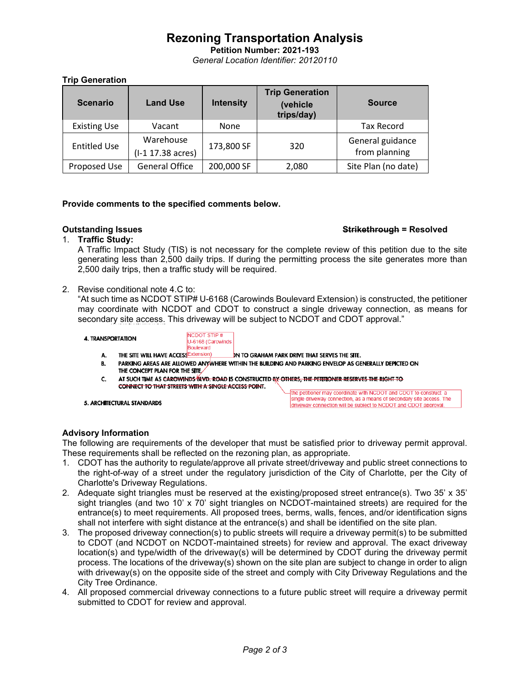# **Rezoning Transportation Analysis**

**Petition Number: 2021-193** *General Location Identifier: 20120110*

## **Trip Generation**

| <b>Scenario</b>     | <b>Land Use</b>                | <b>Intensity</b> | <b>Trip Generation</b><br>(vehicle<br>trips/day) | <b>Source</b>                     |
|---------------------|--------------------------------|------------------|--------------------------------------------------|-----------------------------------|
| <b>Existing Use</b> | Vacant                         | None             |                                                  | <b>Tax Record</b>                 |
| <b>Entitled Use</b> | Warehouse<br>(I-1 17.38 acres) | 173,800 SF       | 320                                              | General guidance<br>from planning |
| Proposed Use        | <b>General Office</b>          | 200,000 SF       | 2,080                                            | Site Plan (no date)               |

## **Provide comments to the specified comments below.**

## **Outstanding Issues Strikethrough = Resolved**

## 1. **Traffic Study:**

A Traffic Impact Study (TIS) is not necessary for the complete review of this petition due to the site generating less than 2,500 daily trips. If during the permitting process the site generates more than 2,500 daily trips, then a traffic study will be required.

2. Revise conditional note 4.C to:

"At such time as NCDOT STIP# U-6168 (Carowinds Boulevard Extension) is constructed, the petitioner may coordinate with NCDOT and CDOT to construct a single driveway connection, as means for secondary site access. This driveway will be subject to NCDOT and CDOT approval."

**4. TRANSPORTATION** 

**NCDOT STIP#** U-6168 (Carowinds

- Boulevard THE SITE WILL HAVE ACCESSEXtension) IN TO GRAHAM PARK DRIVE THAT SERVES THE SITE.
- А. PARKING AREAS ARE ALLOWED ANYWHERE WITHIN THE BUILDING AND PARKING ENVELOP AS GENERALLY DEPICTED ON **B.** THE CONCEPT PLAN FOR THE SITE
- AT SUCH TIME AS CAROWINDS BLVD. ROAD IS CONSTRUCTED BY OTHERS. THE PETITIONER RESERVES THE RIGHT TO C. CONNECT TO THAT STREETS WITH A SINGLE ACCESS POINT.

5. ARCHITECTURAL STANDARDS

the petitioner may coordinate with NCDOT and CDOT to construct a single driveway connection, as a means of secondary site access. The driveway connection will be subject to NCDOT and CDOT approval.

# **Advisory Information**

The following are requirements of the developer that must be satisfied prior to driveway permit approval. These requirements shall be reflected on the rezoning plan, as appropriate.

- 1. CDOT has the authority to regulate/approve all private street/driveway and public street connections to the right-of-way of a street under the regulatory jurisdiction of the City of Charlotte, per the City of Charlotte's Driveway Regulations.
- 2. Adequate sight triangles must be reserved at the existing/proposed street entrance(s). Two 35' x 35' sight triangles (and two 10' x 70' sight triangles on NCDOT-maintained streets) are required for the entrance(s) to meet requirements. All proposed trees, berms, walls, fences, and/or identification signs shall not interfere with sight distance at the entrance(s) and shall be identified on the site plan.
- 3. The proposed driveway connection(s) to public streets will require a driveway permit(s) to be submitted to CDOT (and NCDOT on NCDOT-maintained streets) for review and approval. The exact driveway location(s) and type/width of the driveway(s) will be determined by CDOT during the driveway permit process. The locations of the driveway(s) shown on the site plan are subject to change in order to align with driveway(s) on the opposite side of the street and comply with City Driveway Regulations and the City Tree Ordinance.
- 4. All proposed commercial driveway connections to a future public street will require a driveway permit submitted to CDOT for review and approval.